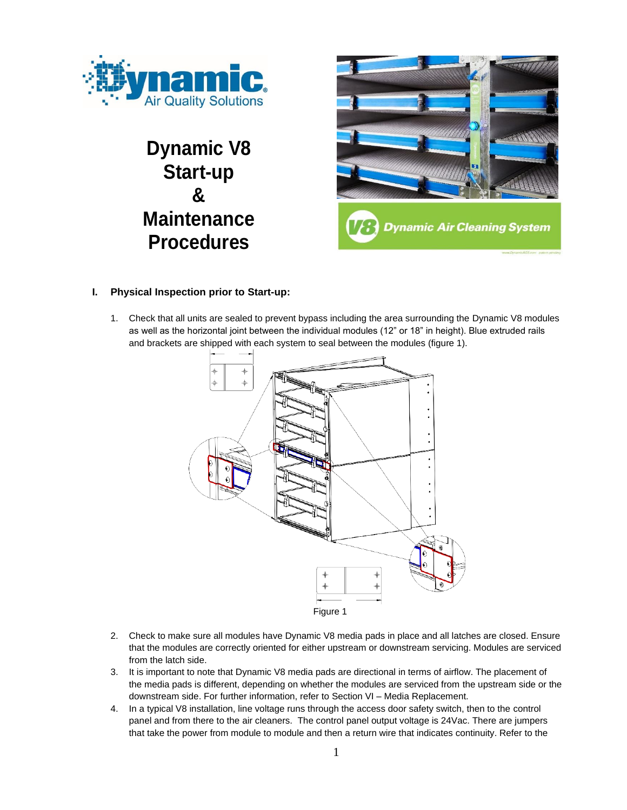

# **Dynamic V8 Start-up & Maintenance Procedures**



## **I. Physical Inspection prior to Start-up:**

1. Check that all units are sealed to prevent bypass including the area surrounding the Dynamic V8 modules as well as the horizontal joint between the individual modules (12" or 18" in height). Blue extruded rails and brackets are shipped with each system to seal between the modules (figure 1).



- 2. Check to make sure all modules have Dynamic V8 media pads in place and all latches are closed. Ensure that the modules are correctly oriented for either upstream or downstream servicing. Modules are serviced from the latch side.
- 3. It is important to note that Dynamic V8 media pads are directional in terms of airflow. The placement of the media pads is different, depending on whether the modules are serviced from the upstream side or the downstream side. For further information, refer to Section VI – Media Replacement.
- 4. In a typical V8 installation, line voltage runs through the access door safety switch, then to the control panel and from there to the air cleaners. The control panel output voltage is 24Vac. There are jumpers that take the power from module to module and then a return wire that indicates continuity. Refer to the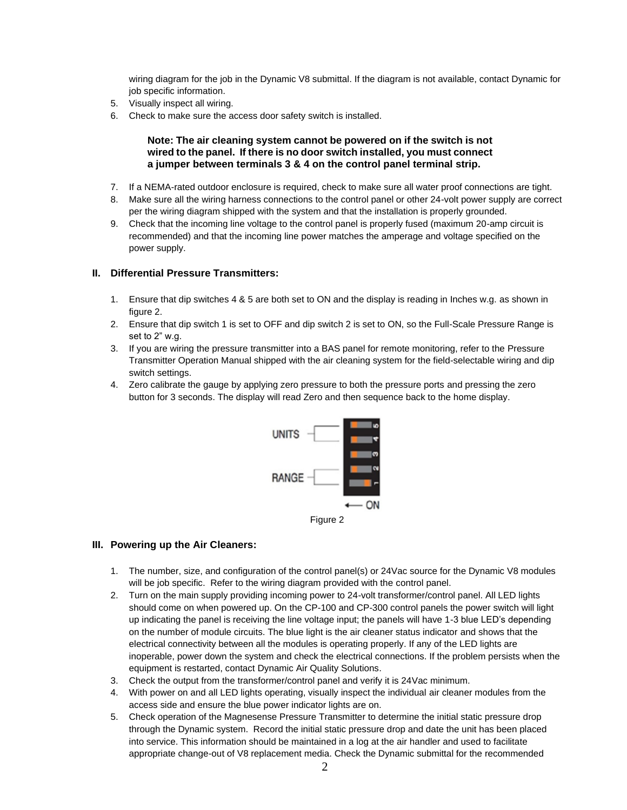wiring diagram for the job in the Dynamic V8 submittal. If the diagram is not available, contact Dynamic for job specific information.

- 5. Visually inspect all wiring.
- 6. Check to make sure the access door safety switch is installed.

#### **Note: The air cleaning system cannot be powered on if the switch is not wired to the panel. If there is no door switch installed, you must connect a jumper between terminals 3 & 4 on the control panel terminal strip.**

- 7. If a NEMA-rated outdoor enclosure is required, check to make sure all water proof connections are tight.
- 8. Make sure all the wiring harness connections to the control panel or other 24-volt power supply are correct per the wiring diagram shipped with the system and that the installation is properly grounded.
- 9. Check that the incoming line voltage to the control panel is properly fused (maximum 20-amp circuit is recommended) and that the incoming line power matches the amperage and voltage specified on the power supply.

#### **II. Differential Pressure Transmitters:**

- 1. Ensure that dip switches 4 & 5 are both set to ON and the display is reading in Inches w.g. as shown in figure 2.
- 2. Ensure that dip switch 1 is set to OFF and dip switch 2 is set to ON, so the Full-Scale Pressure Range is set to 2" w.g.
- 3. If you are wiring the pressure transmitter into a BAS panel for remote monitoring, refer to the Pressure Transmitter Operation Manual shipped with the air cleaning system for the field-selectable wiring and dip switch settings.
- 4. Zero calibrate the gauge by applying zero pressure to both the pressure ports and pressing the zero button for 3 seconds. The display will read Zero and then sequence back to the home display.



#### **III. Powering up the Air Cleaners:**

- 1. The number, size, and configuration of the control panel(s) or 24Vac source for the Dynamic V8 modules will be job specific. Refer to the wiring diagram provided with the control panel.
- 2. Turn on the main supply providing incoming power to 24-volt transformer/control panel. All LED lights should come on when powered up. On the CP-100 and CP-300 control panels the power switch will light up indicating the panel is receiving the line voltage input; the panels will have 1-3 blue LED's depending on the number of module circuits. The blue light is the air cleaner status indicator and shows that the electrical connectivity between all the modules is operating properly. If any of the LED lights are inoperable, power down the system and check the electrical connections. If the problem persists when the equipment is restarted, contact Dynamic Air Quality Solutions.
- 3. Check the output from the transformer/control panel and verify it is 24Vac minimum.
- 4. With power on and all LED lights operating, visually inspect the individual air cleaner modules from the access side and ensure the blue power indicator lights are on.
- 5. Check operation of the Magnesense Pressure Transmitter to determine the initial static pressure drop through the Dynamic system. Record the initial static pressure drop and date the unit has been placed into service. This information should be maintained in a log at the air handler and used to facilitate appropriate change-out of V8 replacement media. Check the Dynamic submittal for the recommended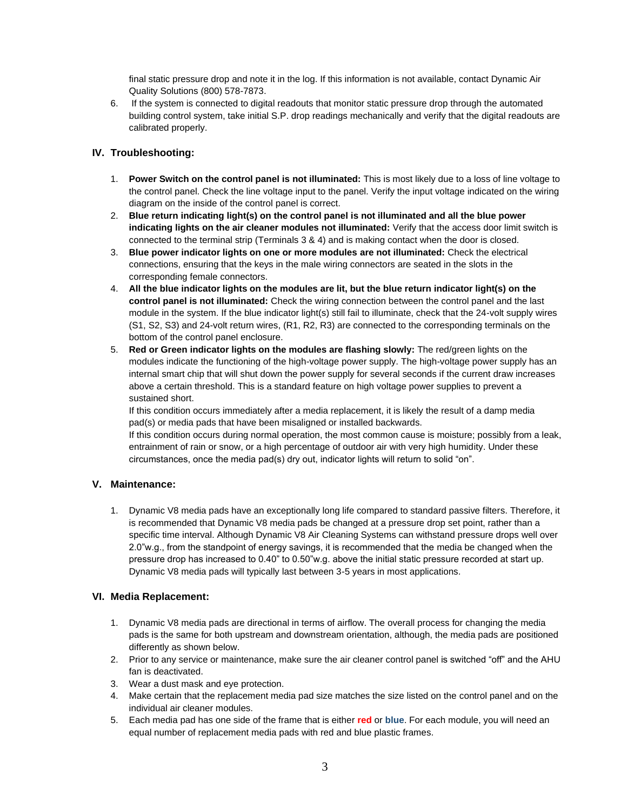final static pressure drop and note it in the log. If this information is not available, contact Dynamic Air Quality Solutions (800) 578-7873.

6. If the system is connected to digital readouts that monitor static pressure drop through the automated building control system, take initial S.P. drop readings mechanically and verify that the digital readouts are calibrated properly.

#### **IV. Troubleshooting:**

- 1. **Power Switch on the control panel is not illuminated:** This is most likely due to a loss of line voltage to the control panel. Check the line voltage input to the panel. Verify the input voltage indicated on the wiring diagram on the inside of the control panel is correct.
- 2. **Blue return indicating light(s) on the control panel is not illuminated and all the blue power indicating lights on the air cleaner modules not illuminated:** Verify that the access door limit switch is connected to the terminal strip (Terminals 3 & 4) and is making contact when the door is closed.
- 3. **Blue power indicator lights on one or more modules are not illuminated:** Check the electrical connections, ensuring that the keys in the male wiring connectors are seated in the slots in the corresponding female connectors.
- 4. **All the blue indicator lights on the modules are lit, but the blue return indicator light(s) on the control panel is not illuminated:** Check the wiring connection between the control panel and the last module in the system. If the blue indicator light(s) still fail to illuminate, check that the 24-volt supply wires (S1, S2, S3) and 24-volt return wires, (R1, R2, R3) are connected to the corresponding terminals on the bottom of the control panel enclosure.
- 5. **Red or Green indicator lights on the modules are flashing slowly:** The red/green lights on the modules indicate the functioning of the high-voltage power supply. The high-voltage power supply has an internal smart chip that will shut down the power supply for several seconds if the current draw increases above a certain threshold. This is a standard feature on high voltage power supplies to prevent a sustained short.

If this condition occurs immediately after a media replacement, it is likely the result of a damp media pad(s) or media pads that have been misaligned or installed backwards.

If this condition occurs during normal operation, the most common cause is moisture; possibly from a leak, entrainment of rain or snow, or a high percentage of outdoor air with very high humidity. Under these circumstances, once the media pad(s) dry out, indicator lights will return to solid "on".

## **V. Maintenance:**

1. Dynamic V8 media pads have an exceptionally long life compared to standard passive filters. Therefore, it is recommended that Dynamic V8 media pads be changed at a pressure drop set point, rather than a specific time interval. Although Dynamic V8 Air Cleaning Systems can withstand pressure drops well over 2.0"w.g., from the standpoint of energy savings, it is recommended that the media be changed when the pressure drop has increased to 0.40" to 0.50"w.g. above the initial static pressure recorded at start up. Dynamic V8 media pads will typically last between 3-5 years in most applications.

## **VI. Media Replacement:**

- 1. Dynamic V8 media pads are directional in terms of airflow. The overall process for changing the media pads is the same for both upstream and downstream orientation, although, the media pads are positioned differently as shown below.
- 2. Prior to any service or maintenance, make sure the air cleaner control panel is switched "off" and the AHU fan is deactivated.
- 3. Wear a dust mask and eye protection.
- 4. Make certain that the replacement media pad size matches the size listed on the control panel and on the individual air cleaner modules.
- 5. Each media pad has one side of the frame that is either **red** or **blue**. For each module, you will need an equal number of replacement media pads with red and blue plastic frames.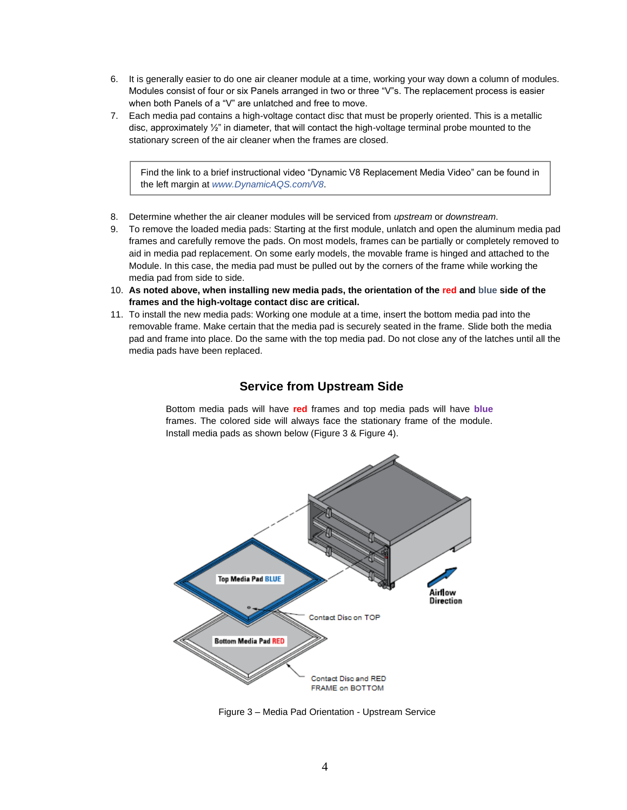- 6. It is generally easier to do one air cleaner module at a time, working your way down a column of modules. Modules consist of four or six Panels arranged in two or three "V"s. The replacement process is easier when both Panels of a "V" are unlatched and free to move.
- 7. Each media pad contains a high-voltage contact disc that must be properly oriented. This is a metallic disc, approximately ½" in diameter, that will contact the high-voltage terminal probe mounted to the stationary screen of the air cleaner when the frames are closed.

Find the link to a brief instructional video "Dynamic V8 Replacement Media Video" can be found in the left margin at *www.DynamicAQS.com/V8*.

- 8. Determine whether the air cleaner modules will be serviced from *upstream* or *downstream*.
- 9. To remove the loaded media pads: Starting at the first module, unlatch and open the aluminum media pad frames and carefully remove the pads. On most models, frames can be partially or completely removed to aid in media pad replacement. On some early models, the movable frame is hinged and attached to the Module. In this case, the media pad must be pulled out by the corners of the frame while working the media pad from side to side.
- 10. **As noted above, when installing new media pads, the orientation of the red and blue side of the frames and the high-voltage contact disc are critical.**
- 11. To install the new media pads: Working one module at a time, insert the bottom media pad into the removable frame. Make certain that the media pad is securely seated in the frame. Slide both the media pad and frame into place. Do the same with the top media pad. Do not close any of the latches until all the media pads have been replaced.

## **Service from Upstream Side**

Bottom media pads will have **red** frames and top media pads will have **blue** frames. The colored side will always face the stationary frame of the module. Install media pads as shown below (Figure 3 & Figure 4).



Figure 3 – Media Pad Orientation - Upstream Service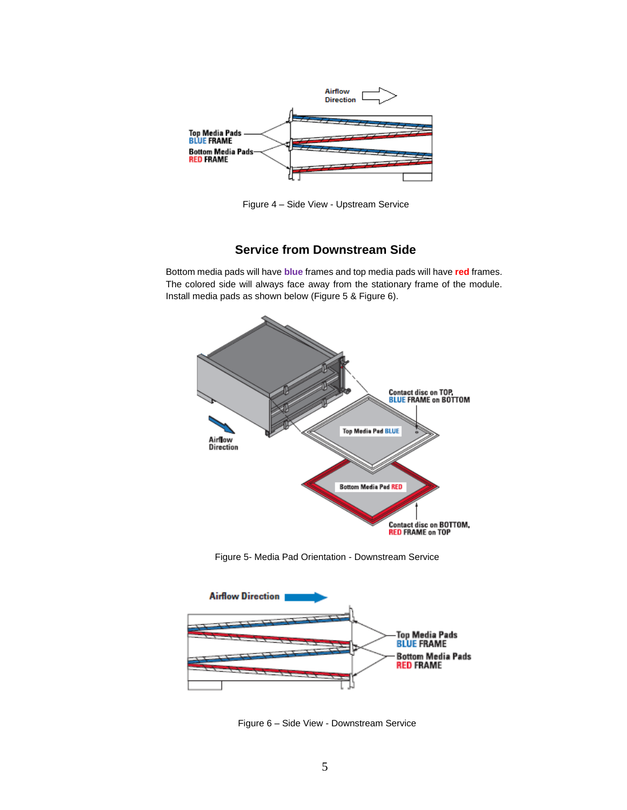

Figure 4 – Side View - Upstream Service

# **Service from Downstream Side**

Bottom media pads will have **blue** frames and top media pads will have **red** frames. The colored side will always face away from the stationary frame of the module. Install media pads as shown below (Figure 5 & Figure 6).



Figure 5- Media Pad Orientation - Downstream Service



Figure 6 – Side View - Downstream Service